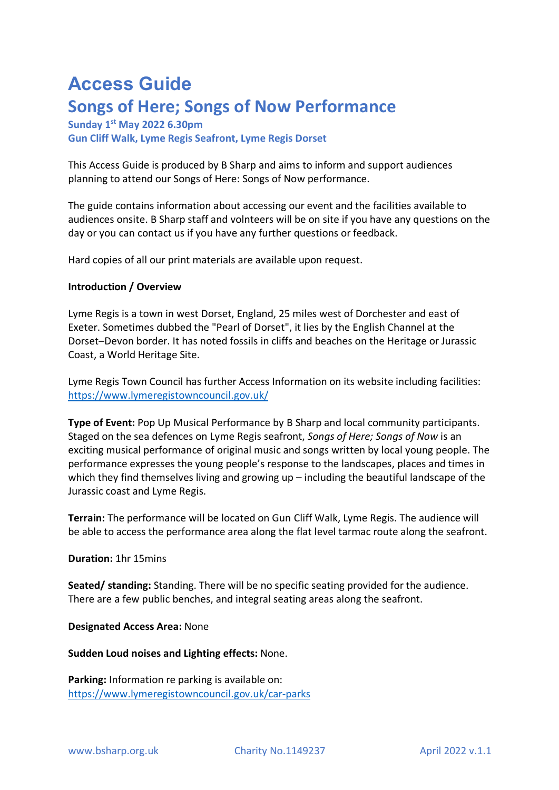# **Access Guide Songs of Here; Songs of Now Performance**

## **Sunday 1st May 2022 6.30pm Gun Cliff Walk, Lyme Regis Seafront, Lyme Regis Dorset**

This Access Guide is produced by B Sharp and aims to inform and support audiences planning to attend our Songs of Here: Songs of Now performance.

The guide contains information about accessing our event and the facilities available to audiences onsite. B Sharp staff and volnteers will be on site if you have any questions on the day or you can contact us if you have any further questions or feedback.

Hard copies of all our print materials are available upon request.

## **Introduction / Overview**

Lyme Regis is a town in west Dorset, England, 25 miles west of Dorchester and east of Exeter. Sometimes dubbed the "Pearl of Dorset", it lies by the English Channel at the Dorset–Devon border. It has noted fossils in cliffs and beaches on the Heritage or Jurassic Coast, a World Heritage Site.

Lyme Regis Town Council has further Access Information on its website including facilities: https://www.lymeregistowncouncil.gov.uk/

**Type of Event:** Pop Up Musical Performance by B Sharp and local community participants. Staged on the sea defences on Lyme Regis seafront, *Songs of Here; Songs of Now* is an exciting musical performance of original music and songs written by local young people. The performance expresses the young people's response to the landscapes, places and times in which they find themselves living and growing up – including the beautiful landscape of the Jurassic coast and Lyme Regis.

**Terrain:** The performance will be located on Gun Cliff Walk, Lyme Regis. The audience will be able to access the performance area along the flat level tarmac route along the seafront.

### **Duration:** 1hr 15mins

**Seated/ standing:** Standing. There will be no specific seating provided for the audience. There are a few public benches, and integral seating areas along the seafront.

#### **Designated Access Area:** None

**Sudden Loud noises and Lighting effects:** None.

**Parking:** Information re parking is available on: https://www.lymeregistowncouncil.gov.uk/car-parks